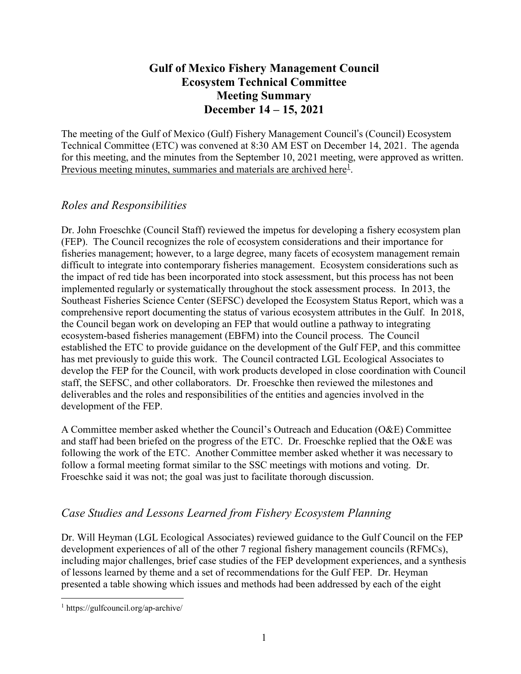# **Gulf of Mexico Fishery Management Council Ecosystem Technical Committee Meeting Summary December 14 – 15, 2021**

The meeting of the Gulf of Mexico (Gulf) Fishery Management Council's (Council) Ecosystem Technical Committee (ETC) was convened at 8:30 AM EST on December 14, 2021. The agenda for this meeting, and the minutes from the September 10, 2021 meeting, were approved as written. Previous meeting minutes, [summaries](https://gulfcouncil.org/meetings-archive/) and materials are archived here<sup>[1](#page-0-0)</sup>.

# *Roles and Responsibilities*

Dr. John Froeschke (Council Staff) reviewed the impetus for developing a fishery ecosystem plan (FEP). The Council recognizes the role of ecosystem considerations and their importance for fisheries management; however, to a large degree, many facets of ecosystem management remain difficult to integrate into contemporary fisheries management. Ecosystem considerations such as the impact of red tide has been incorporated into stock assessment, but this process has not been implemented regularly or systematically throughout the stock assessment process. In 2013, the Southeast Fisheries Science Center (SEFSC) developed the Ecosystem Status Report, which was a comprehensive report documenting the status of various ecosystem attributes in the Gulf. In 2018, the Council began work on developing an FEP that would outline a pathway to integrating ecosystem-based fisheries management (EBFM) into the Council process. The Council established the ETC to provide guidance on the development of the Gulf FEP, and this committee has met previously to guide this work. The Council contracted LGL Ecological Associates to develop the FEP for the Council, with work products developed in close coordination with Council staff, the SEFSC, and other collaborators. Dr. Froeschke then reviewed the milestones and deliverables and the roles and responsibilities of the entities and agencies involved in the development of the FEP.

A Committee member asked whether the Council's Outreach and Education (O&E) Committee and staff had been briefed on the progress of the ETC. Dr. Froeschke replied that the O&E was following the work of the ETC. Another Committee member asked whether it was necessary to follow a formal meeting format similar to the SSC meetings with motions and voting. Dr. Froeschke said it was not; the goal was just to facilitate thorough discussion.

# *Case Studies and Lessons Learned from Fishery Ecosystem Planning*

Dr. Will Heyman (LGL Ecological Associates) reviewed guidance to the Gulf Council on the FEP development experiences of all of the other 7 regional fishery management councils (RFMCs), including major challenges, brief case studies of the FEP development experiences, and a synthesis of lessons learned by theme and a set of recommendations for the Gulf FEP. Dr. Heyman presented a table showing which issues and methods had been addressed by each of the eight

<span id="page-0-0"></span> <sup>1</sup> https://gulfcouncil.org/ap-archive/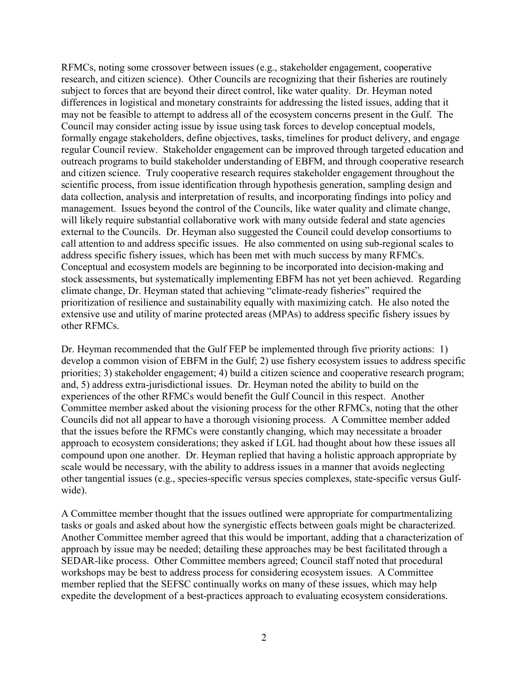RFMCs, noting some crossover between issues (e.g., stakeholder engagement, cooperative research, and citizen science). Other Councils are recognizing that their fisheries are routinely subject to forces that are beyond their direct control, like water quality. Dr. Heyman noted differences in logistical and monetary constraints for addressing the listed issues, adding that it may not be feasible to attempt to address all of the ecosystem concerns present in the Gulf. The Council may consider acting issue by issue using task forces to develop conceptual models, formally engage stakeholders, define objectives, tasks, timelines for product delivery, and engage regular Council review. Stakeholder engagement can be improved through targeted education and outreach programs to build stakeholder understanding of EBFM, and through cooperative research and citizen science. Truly cooperative research requires stakeholder engagement throughout the scientific process, from issue identification through hypothesis generation, sampling design and data collection, analysis and interpretation of results, and incorporating findings into policy and management. Issues beyond the control of the Councils, like water quality and climate change, will likely require substantial collaborative work with many outside federal and state agencies external to the Councils. Dr. Heyman also suggested the Council could develop consortiums to call attention to and address specific issues. He also commented on using sub-regional scales to address specific fishery issues, which has been met with much success by many RFMCs. Conceptual and ecosystem models are beginning to be incorporated into decision-making and stock assessments, but systematically implementing EBFM has not yet been achieved. Regarding climate change, Dr. Heyman stated that achieving "climate-ready fisheries" required the prioritization of resilience and sustainability equally with maximizing catch. He also noted the extensive use and utility of marine protected areas (MPAs) to address specific fishery issues by other RFMCs.

Dr. Heyman recommended that the Gulf FEP be implemented through five priority actions: 1) develop a common vision of EBFM in the Gulf; 2) use fishery ecosystem issues to address specific priorities; 3) stakeholder engagement; 4) build a citizen science and cooperative research program; and, 5) address extra-jurisdictional issues. Dr. Heyman noted the ability to build on the experiences of the other RFMCs would benefit the Gulf Council in this respect. Another Committee member asked about the visioning process for the other RFMCs, noting that the other Councils did not all appear to have a thorough visioning process. A Committee member added that the issues before the RFMCs were constantly changing, which may necessitate a broader approach to ecosystem considerations; they asked if LGL had thought about how these issues all compound upon one another. Dr. Heyman replied that having a holistic approach appropriate by scale would be necessary, with the ability to address issues in a manner that avoids neglecting other tangential issues (e.g., species-specific versus species complexes, state-specific versus Gulfwide).

A Committee member thought that the issues outlined were appropriate for compartmentalizing tasks or goals and asked about how the synergistic effects between goals might be characterized. Another Committee member agreed that this would be important, adding that a characterization of approach by issue may be needed; detailing these approaches may be best facilitated through a SEDAR-like process. Other Committee members agreed; Council staff noted that procedural workshops may be best to address process for considering ecosystem issues. A Committee member replied that the SEFSC continually works on many of these issues, which may help expedite the development of a best-practices approach to evaluating ecosystem considerations.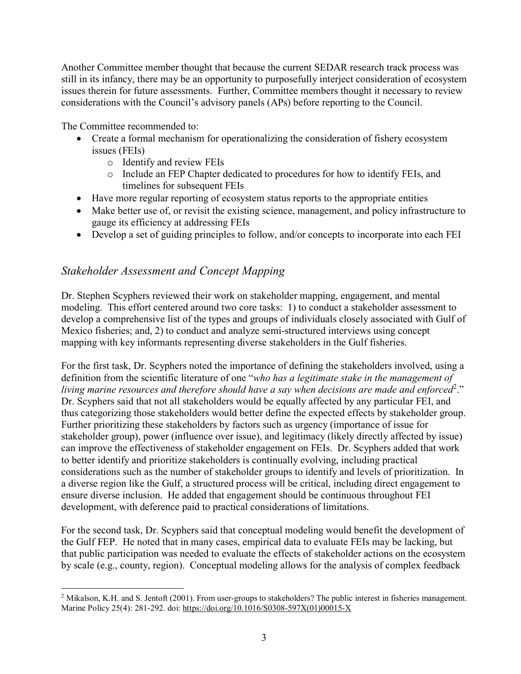Another Committee member thought that because the current SEDAR research track process was still in its infancy, there may be an opportunity to purposefully interject consideration of ecosystem issues therein for future assessments. Further, Committee members thought it necessary to review considerations with the Council's advisory panels (APs) before reporting to the Council.

The Committee recommended to:

- Create a formal mechanism for operationalizing the consideration of fishery ecosystem issues (FEIs)
	- o Identify and review FEIs
	- o Include an FEP Chapter dedicated to procedures for how to identify FEIs, and timelines for subsequent FEIs
- Have more regular reporting of ecosystem status reports to the appropriate entities
- Make better use of, or revisit the existing science, management, and policy infrastructure to gauge its efficiency at addressing FEIs
- Develop a set of guiding principles to follow, and/or concepts to incorporate into each FEI

### *Stakeholder Assessment and Concept Mapping*

Dr. Stephen Scyphers reviewed their work on stakeholder mapping, engagement, and mental modeling. This effort centered around two core tasks: 1) to conduct a stakeholder assessment to develop a comprehensive list of the types and groups of individuals closely associated with Gulf of Mexico fisheries; and, 2) to conduct and analyze semi-structured interviews using concept mapping with key informants representing diverse stakeholders in the Gulf fisheries.

For the first task, Dr. Scyphers noted the importance of defining the stakeholders involved, using a definition from the scientific literature of one "*who has a legitimate stake in the management of living marine resources and therefore should have a say when decisions are made and enforced*[2](#page-2-0) ." Dr. Scyphers said that not all stakeholders would be equally affected by any particular FEI, and thus categorizing those stakeholders would better define the expected effects by stakeholder group. Further prioritizing these stakeholders by factors such as urgency (importance of issue for stakeholder group), power (influence over issue), and legitimacy (likely directly affected by issue) can improve the effectiveness of stakeholder engagement on FEIs. Dr. Scyphers added that work to better identify and prioritize stakeholders is continually evolving, including practical considerations such as the number of stakeholder groups to identify and levels of prioritization. In a diverse region like the Gulf, a structured process will be critical, including direct engagement to ensure diverse inclusion. He added that engagement should be continuous throughout FEI development, with deference paid to practical considerations of limitations.

For the second task, Dr. Scyphers said that conceptual modeling would benefit the development of the Gulf FEP. He noted that in many cases, empirical data to evaluate FEIs may be lacking, but that public participation was needed to evaluate the effects of stakeholder actions on the ecosystem by scale (e.g., county, region). Conceptual modeling allows for the analysis of complex feedback

<span id="page-2-0"></span><sup>&</sup>lt;sup>2</sup> Mikalson, K.H. and S. Jentoft (2001). From user-groups to stakeholders? The public interest in fisheries management. Marine Policy 25(4): 281-292. doi: [https://doi.org/10.1016/S0308-597X\(01\)00015-X](https://doi.org/10.1016/S0308-597X(01)00015-X)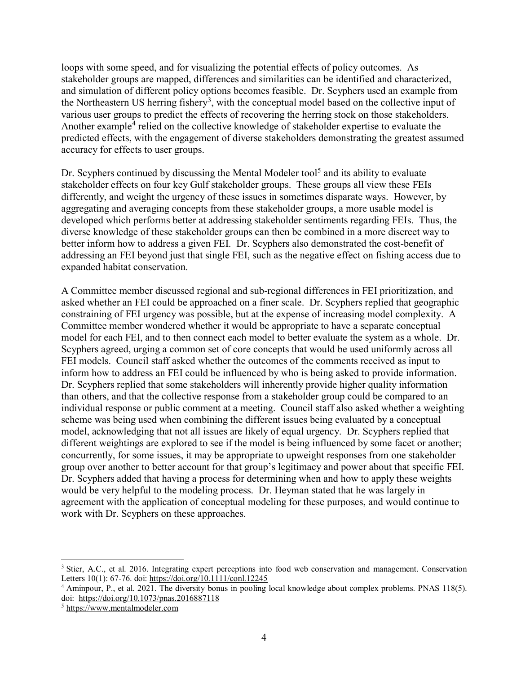loops with some speed, and for visualizing the potential effects of policy outcomes. As stakeholder groups are mapped, differences and similarities can be identified and characterized, and simulation of different policy options becomes feasible. Dr. Scyphers used an example from the Northeastern US herring fishery<sup>[3](#page-3-0)</sup>, with the conceptual model based on the collective input of various user groups to predict the effects of recovering the herring stock on those stakeholders. Another example<sup>[4](#page-3-1)</sup> relied on the collective knowledge of stakeholder expertise to evaluate the predicted effects, with the engagement of diverse stakeholders demonstrating the greatest assumed accuracy for effects to user groups.

Dr. Scyphers continued by discussing the Mental Modeler tool<sup>[5](#page-3-2)</sup> and its ability to evaluate stakeholder effects on four key Gulf stakeholder groups. These groups all view these FEIs differently, and weight the urgency of these issues in sometimes disparate ways. However, by aggregating and averaging concepts from these stakeholder groups, a more usable model is developed which performs better at addressing stakeholder sentiments regarding FEIs. Thus, the diverse knowledge of these stakeholder groups can then be combined in a more discreet way to better inform how to address a given FEI. Dr. Scyphers also demonstrated the cost-benefit of addressing an FEI beyond just that single FEI, such as the negative effect on fishing access due to expanded habitat conservation.

A Committee member discussed regional and sub-regional differences in FEI prioritization, and asked whether an FEI could be approached on a finer scale. Dr. Scyphers replied that geographic constraining of FEI urgency was possible, but at the expense of increasing model complexity. A Committee member wondered whether it would be appropriate to have a separate conceptual model for each FEI, and to then connect each model to better evaluate the system as a whole. Dr. Scyphers agreed, urging a common set of core concepts that would be used uniformly across all FEI models. Council staff asked whether the outcomes of the comments received as input to inform how to address an FEI could be influenced by who is being asked to provide information. Dr. Scyphers replied that some stakeholders will inherently provide higher quality information than others, and that the collective response from a stakeholder group could be compared to an individual response or public comment at a meeting. Council staff also asked whether a weighting scheme was being used when combining the different issues being evaluated by a conceptual model, acknowledging that not all issues are likely of equal urgency. Dr. Scyphers replied that different weightings are explored to see if the model is being influenced by some facet or another; concurrently, for some issues, it may be appropriate to upweight responses from one stakeholder group over another to better account for that group's legitimacy and power about that specific FEI. Dr. Scyphers added that having a process for determining when and how to apply these weights would be very helpful to the modeling process. Dr. Heyman stated that he was largely in agreement with the application of conceptual modeling for these purposes, and would continue to work with Dr. Scyphers on these approaches.

<span id="page-3-0"></span> <sup>3</sup> Stier, A.C., et al. 2016. Integrating expert perceptions into food web conservation and management. Conservation Letters 10(1): 67-76. doi: <https://doi.org/10.1111/conl.12245>

<span id="page-3-1"></span><sup>4</sup> Aminpour, P., et al. 2021. The diversity bonus in pooling local knowledge about complex problems. PNAS 118(5). doi: <https://doi.org/10.1073/pnas.2016887118>

<span id="page-3-2"></span><sup>5</sup> [https://www.mentalmodeler.com](https://www.mentalmodeler.com/)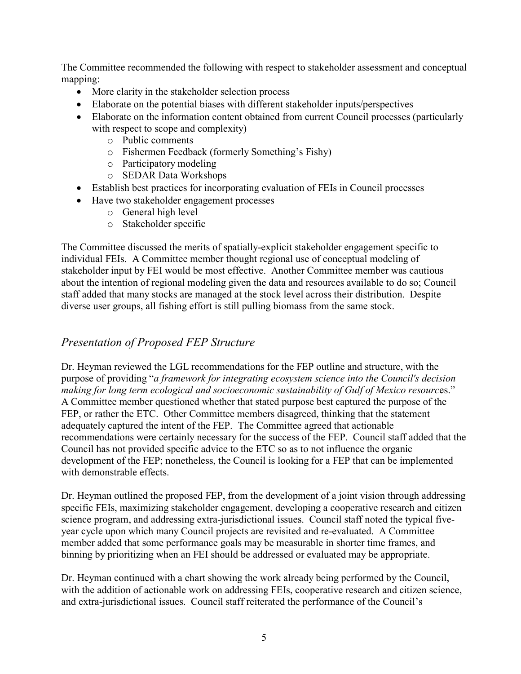The Committee recommended the following with respect to stakeholder assessment and conceptual mapping:

- More clarity in the stakeholder selection process
- Elaborate on the potential biases with different stakeholder inputs/perspectives
- Elaborate on the information content obtained from current Council processes (particularly with respect to scope and complexity)
	- o Public comments
	- o Fishermen Feedback (formerly Something's Fishy)
	- o Participatory modeling
	- o SEDAR Data Workshops
- Establish best practices for incorporating evaluation of FEIs in Council processes
- Have two stakeholder engagement processes
	- o General high level
	- o Stakeholder specific

The Committee discussed the merits of spatially-explicit stakeholder engagement specific to individual FEIs. A Committee member thought regional use of conceptual modeling of stakeholder input by FEI would be most effective. Another Committee member was cautious about the intention of regional modeling given the data and resources available to do so; Council staff added that many stocks are managed at the stock level across their distribution. Despite diverse user groups, all fishing effort is still pulling biomass from the same stock.

# *Presentation of Proposed FEP Structure*

Dr. Heyman reviewed the LGL recommendations for the FEP outline and structure, with the purpose of providing "*a framework for integrating ecosystem science into the Council's decision making for long term ecological and socioeconomic sustainability of Gulf of Mexico resourc*es." A Committee member questioned whether that stated purpose best captured the purpose of the FEP, or rather the ETC. Other Committee members disagreed, thinking that the statement adequately captured the intent of the FEP. The Committee agreed that actionable recommendations were certainly necessary for the success of the FEP. Council staff added that the Council has not provided specific advice to the ETC so as to not influence the organic development of the FEP; nonetheless, the Council is looking for a FEP that can be implemented with demonstrable effects.

Dr. Heyman outlined the proposed FEP, from the development of a joint vision through addressing specific FEIs, maximizing stakeholder engagement, developing a cooperative research and citizen science program, and addressing extra-jurisdictional issues. Council staff noted the typical fiveyear cycle upon which many Council projects are revisited and re-evaluated. A Committee member added that some performance goals may be measurable in shorter time frames, and binning by prioritizing when an FEI should be addressed or evaluated may be appropriate.

Dr. Heyman continued with a chart showing the work already being performed by the Council, with the addition of actionable work on addressing FEIs, cooperative research and citizen science, and extra-jurisdictional issues. Council staff reiterated the performance of the Council's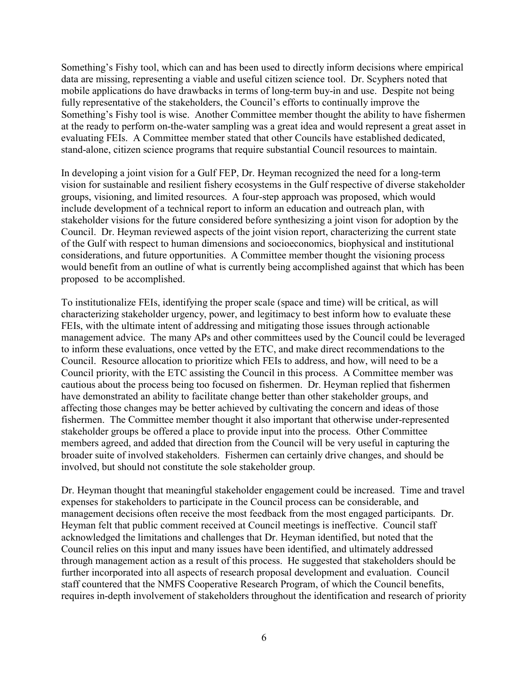Something's Fishy tool, which can and has been used to directly inform decisions where empirical data are missing, representing a viable and useful citizen science tool. Dr. Scyphers noted that mobile applications do have drawbacks in terms of long-term buy-in and use. Despite not being fully representative of the stakeholders, the Council's efforts to continually improve the Something's Fishy tool is wise. Another Committee member thought the ability to have fishermen at the ready to perform on-the-water sampling was a great idea and would represent a great asset in evaluating FEIs. A Committee member stated that other Councils have established dedicated, stand-alone, citizen science programs that require substantial Council resources to maintain.

In developing a joint vision for a Gulf FEP, Dr. Heyman recognized the need for a long-term vision for sustainable and resilient fishery ecosystems in the Gulf respective of diverse stakeholder groups, visioning, and limited resources. A four-step approach was proposed, which would include development of a technical report to inform an education and outreach plan, with stakeholder visions for the future considered before synthesizing a joint vison for adoption by the Council. Dr. Heyman reviewed aspects of the joint vision report, characterizing the current state of the Gulf with respect to human dimensions and socioeconomics, biophysical and institutional considerations, and future opportunities. A Committee member thought the visioning process would benefit from an outline of what is currently being accomplished against that which has been proposed to be accomplished.

To institutionalize FEIs, identifying the proper scale (space and time) will be critical, as will characterizing stakeholder urgency, power, and legitimacy to best inform how to evaluate these FEIs, with the ultimate intent of addressing and mitigating those issues through actionable management advice. The many APs and other committees used by the Council could be leveraged to inform these evaluations, once vetted by the ETC, and make direct recommendations to the Council. Resource allocation to prioritize which FEIs to address, and how, will need to be a Council priority, with the ETC assisting the Council in this process. A Committee member was cautious about the process being too focused on fishermen. Dr. Heyman replied that fishermen have demonstrated an ability to facilitate change better than other stakeholder groups, and affecting those changes may be better achieved by cultivating the concern and ideas of those fishermen. The Committee member thought it also important that otherwise under-represented stakeholder groups be offered a place to provide input into the process. Other Committee members agreed, and added that direction from the Council will be very useful in capturing the broader suite of involved stakeholders. Fishermen can certainly drive changes, and should be involved, but should not constitute the sole stakeholder group.

Dr. Heyman thought that meaningful stakeholder engagement could be increased. Time and travel expenses for stakeholders to participate in the Council process can be considerable, and management decisions often receive the most feedback from the most engaged participants. Dr. Heyman felt that public comment received at Council meetings is ineffective. Council staff acknowledged the limitations and challenges that Dr. Heyman identified, but noted that the Council relies on this input and many issues have been identified, and ultimately addressed through management action as a result of this process. He suggested that stakeholders should be further incorporated into all aspects of research proposal development and evaluation. Council staff countered that the NMFS Cooperative Research Program, of which the Council benefits, requires in-depth involvement of stakeholders throughout the identification and research of priority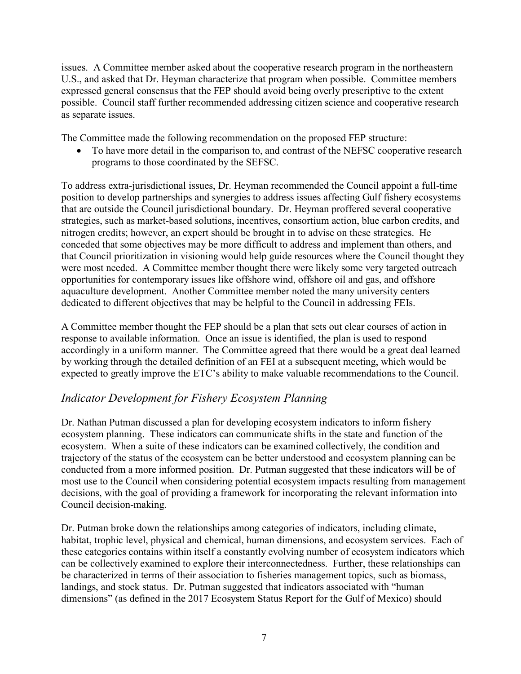issues. A Committee member asked about the cooperative research program in the northeastern U.S., and asked that Dr. Heyman characterize that program when possible. Committee members expressed general consensus that the FEP should avoid being overly prescriptive to the extent possible. Council staff further recommended addressing citizen science and cooperative research as separate issues.

The Committee made the following recommendation on the proposed FEP structure:

• To have more detail in the comparison to, and contrast of the NEFSC cooperative research programs to those coordinated by the SEFSC.

To address extra-jurisdictional issues, Dr. Heyman recommended the Council appoint a full-time position to develop partnerships and synergies to address issues affecting Gulf fishery ecosystems that are outside the Council jurisdictional boundary. Dr. Heyman proffered several cooperative strategies, such as market-based solutions, incentives, consortium action, blue carbon credits, and nitrogen credits; however, an expert should be brought in to advise on these strategies. He conceded that some objectives may be more difficult to address and implement than others, and that Council prioritization in visioning would help guide resources where the Council thought they were most needed. A Committee member thought there were likely some very targeted outreach opportunities for contemporary issues like offshore wind, offshore oil and gas, and offshore aquaculture development. Another Committee member noted the many university centers dedicated to different objectives that may be helpful to the Council in addressing FEIs.

A Committee member thought the FEP should be a plan that sets out clear courses of action in response to available information. Once an issue is identified, the plan is used to respond accordingly in a uniform manner. The Committee agreed that there would be a great deal learned by working through the detailed definition of an FEI at a subsequent meeting, which would be expected to greatly improve the ETC's ability to make valuable recommendations to the Council.

# *Indicator Development for Fishery Ecosystem Planning*

Dr. Nathan Putman discussed a plan for developing ecosystem indicators to inform fishery ecosystem planning. These indicators can communicate shifts in the state and function of the ecosystem. When a suite of these indicators can be examined collectively, the condition and trajectory of the status of the ecosystem can be better understood and ecosystem planning can be conducted from a more informed position. Dr. Putman suggested that these indicators will be of most use to the Council when considering potential ecosystem impacts resulting from management decisions, with the goal of providing a framework for incorporating the relevant information into Council decision-making.

Dr. Putman broke down the relationships among categories of indicators, including climate, habitat, trophic level, physical and chemical, human dimensions, and ecosystem services. Each of these categories contains within itself a constantly evolving number of ecosystem indicators which can be collectively examined to explore their interconnectedness. Further, these relationships can be characterized in terms of their association to fisheries management topics, such as biomass, landings, and stock status. Dr. Putman suggested that indicators associated with "human dimensions" (as defined in the 2017 Ecosystem Status Report for the Gulf of Mexico) should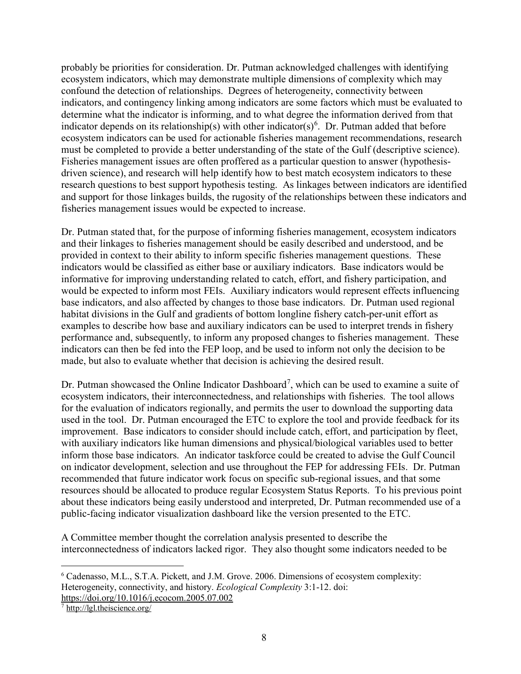probably be priorities for consideration. Dr. Putman acknowledged challenges with identifying ecosystem indicators, which may demonstrate multiple dimensions of complexity which may confound the detection of relationships. Degrees of heterogeneity, connectivity between indicators, and contingency linking among indicators are some factors which must be evaluated to determine what the indicator is informing, and to what degree the information derived from that indicator depends on its relationship(s) with other indicator(s)<sup>[6](#page-7-0)</sup>. Dr. Putman added that before ecosystem indicators can be used for actionable fisheries management recommendations, research must be completed to provide a better understanding of the state of the Gulf (descriptive science). Fisheries management issues are often proffered as a particular question to answer (hypothesisdriven science), and research will help identify how to best match ecosystem indicators to these research questions to best support hypothesis testing. As linkages between indicators are identified and support for those linkages builds, the rugosity of the relationships between these indicators and fisheries management issues would be expected to increase.

Dr. Putman stated that, for the purpose of informing fisheries management, ecosystem indicators and their linkages to fisheries management should be easily described and understood, and be provided in context to their ability to inform specific fisheries management questions. These indicators would be classified as either base or auxiliary indicators. Base indicators would be informative for improving understanding related to catch, effort, and fishery participation, and would be expected to inform most FEIs. Auxiliary indicators would represent effects influencing base indicators, and also affected by changes to those base indicators. Dr. Putman used regional habitat divisions in the Gulf and gradients of bottom longline fishery catch-per-unit effort as examples to describe how base and auxiliary indicators can be used to interpret trends in fishery performance and, subsequently, to inform any proposed changes to fisheries management. These indicators can then be fed into the FEP loop, and be used to inform not only the decision to be made, but also to evaluate whether that decision is achieving the desired result.

Dr. Putman showcased the Online Indicator Dashboard<sup>[7](#page-7-1)</sup>, which can be used to examine a suite of ecosystem indicators, their interconnectedness, and relationships with fisheries. The tool allows for the evaluation of indicators regionally, and permits the user to download the supporting data used in the tool. Dr. Putman encouraged the ETC to explore the tool and provide feedback for its improvement. Base indicators to consider should include catch, effort, and participation by fleet, with auxiliary indicators like human dimensions and physical/biological variables used to better inform those base indicators. An indicator taskforce could be created to advise the Gulf Council on indicator development, selection and use throughout the FEP for addressing FEIs. Dr. Putman recommended that future indicator work focus on specific sub-regional issues, and that some resources should be allocated to produce regular Ecosystem Status Reports. To his previous point about these indicators being easily understood and interpreted, Dr. Putman recommended use of a public-facing indicator visualization dashboard like the version presented to the ETC.

A Committee member thought the correlation analysis presented to describe the interconnectedness of indicators lacked rigor. They also thought some indicators needed to be

<span id="page-7-0"></span> <sup>6</sup> Cadenasso, M.L., S.T.A. Pickett, and J.M. Grove. 2006. Dimensions of ecosystem complexity: Heterogeneity, connectivity, and history. *Ecological Complexity* 3:1-12. doi: <https://doi.org/10.1016/j.ecocom.2005.07.002>

<span id="page-7-1"></span><sup>7</sup> <http://lgl.theiscience.org/>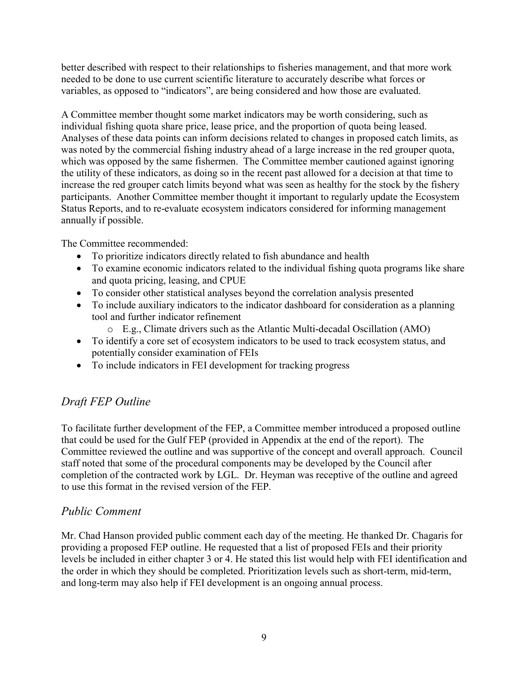better described with respect to their relationships to fisheries management, and that more work needed to be done to use current scientific literature to accurately describe what forces or variables, as opposed to "indicators", are being considered and how those are evaluated.

A Committee member thought some market indicators may be worth considering, such as individual fishing quota share price, lease price, and the proportion of quota being leased. Analyses of these data points can inform decisions related to changes in proposed catch limits, as was noted by the commercial fishing industry ahead of a large increase in the red grouper quota, which was opposed by the same fishermen. The Committee member cautioned against ignoring the utility of these indicators, as doing so in the recent past allowed for a decision at that time to increase the red grouper catch limits beyond what was seen as healthy for the stock by the fishery participants. Another Committee member thought it important to regularly update the Ecosystem Status Reports, and to re-evaluate ecosystem indicators considered for informing management annually if possible.

The Committee recommended:

- To prioritize indicators directly related to fish abundance and health
- To examine economic indicators related to the individual fishing quota programs like share and quota pricing, leasing, and CPUE
- To consider other statistical analyses beyond the correlation analysis presented
- To include auxiliary indicators to the indicator dashboard for consideration as a planning tool and further indicator refinement
	- o E.g., Climate drivers such as the Atlantic Multi-decadal Oscillation (AMO)
- To identify a core set of ecosystem indicators to be used to track ecosystem status, and potentially consider examination of FEIs
- To include indicators in FEI development for tracking progress

# *Draft FEP Outline*

To facilitate further development of the FEP, a Committee member introduced a proposed outline that could be used for the Gulf FEP (provided in Appendix at the end of the report). The Committee reviewed the outline and was supportive of the concept and overall approach. Council staff noted that some of the procedural components may be developed by the Council after completion of the contracted work by LGL. Dr. Heyman was receptive of the outline and agreed to use this format in the revised version of the FEP.

# *Public Comment*

Mr. Chad Hanson provided public comment each day of the meeting. He thanked Dr. Chagaris for providing a proposed FEP outline. He requested that a list of proposed FEIs and their priority levels be included in either chapter 3 or 4. He stated this list would help with FEI identification and the order in which they should be completed. Prioritization levels such as short-term, mid-term, and long-term may also help if FEI development is an ongoing annual process.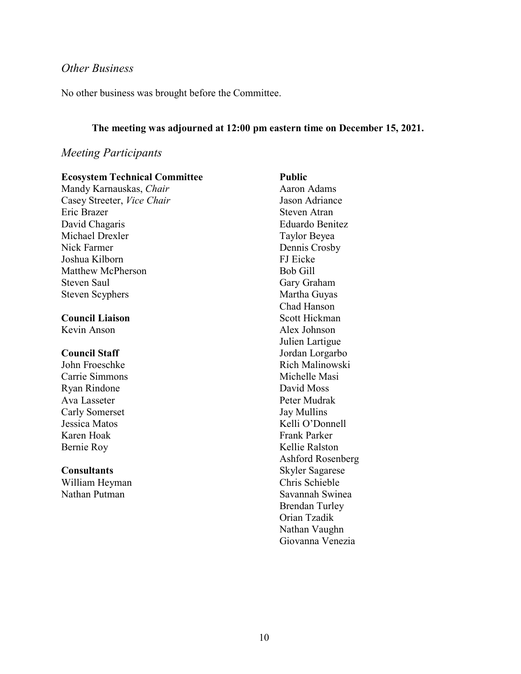### *Other Business*

No other business was brought before the Committee.

#### **The meeting was adjourned at 12:00 pm eastern time on December 15, 2021.**

### *Meeting Participants*

#### **Ecosystem Technical Committee** Mandy Karnauskas, *Chair* Casey Streeter, *Vice Chair*

Eric Brazer David Chagaris Michael Drexler Nick Farmer Joshua Kilborn Matthew McPherson Steven Saul Steven Scyphers

#### **Council Liaison**

Kevin Anson

### **Council Staff**

John Froeschke Carrie Simmons Ryan Rindone Ava Lasseter Carly Somerset Jessica Matos Karen Hoak Bernie Roy

#### **Consultants**

William Heyman Nathan Putman

### **Public** Aaron Adams Jason Adriance Steven Atran Eduardo Benitez Taylor Beyea Dennis Crosby FJ Eicke Bob Gill Gary Graham Martha Guyas Chad Hanson Scott Hickman Alex Johnson Julien Lartigue Jordan Lorgarbo Rich Malinowski Michelle Masi David Moss Peter Mudrak Jay Mullins Kelli O'Donnell Frank Parker Kellie Ralston Ashford Rosenberg Skyler Sagarese Chris Schieble Savannah Swinea Brendan Turley Orian Tzadik Nathan Vaughn Giovanna Venezia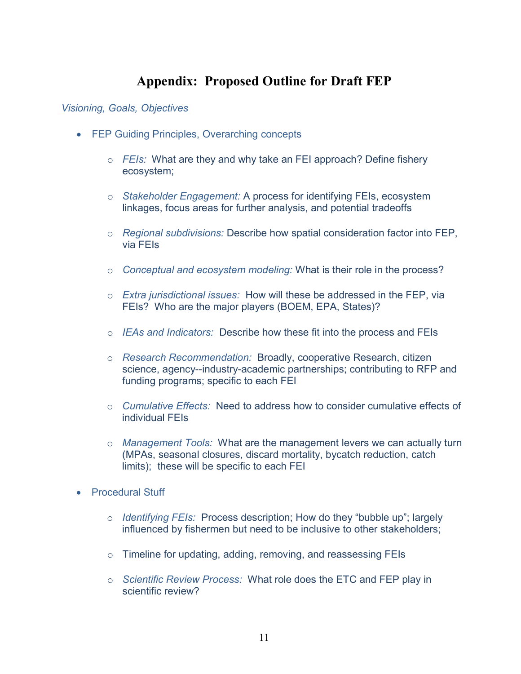# **Appendix: Proposed Outline for Draft FEP**

### *Visioning, Goals, Objectives*

- FEP Guiding Principles, Overarching concepts
	- o *FEIs:* What are they and why take an FEI approach? Define fishery ecosystem;
	- o *Stakeholder Engagement:* A process for identifying FEIs, ecosystem linkages, focus areas for further analysis, and potential tradeoffs
	- o *Regional subdivisions:* Describe how spatial consideration factor into FEP, via FEIs
	- o *Conceptual and ecosystem modeling:* What is their role in the process?
	- o *Extra jurisdictional issues:* How will these be addressed in the FEP, via FEIs? Who are the major players (BOEM, EPA, States)?
	- o *IEAs and Indicators:* Describe how these fit into the process and FEIs
	- o *Research Recommendation:* Broadly, cooperative Research, citizen science, agency--industry-academic partnerships; contributing to RFP and funding programs; specific to each FEI
	- o *Cumulative Effects:* Need to address how to consider cumulative effects of individual FEIs
	- o *Management Tools:* What are the management levers we can actually turn (MPAs, seasonal closures, discard mortality, bycatch reduction, catch limits); these will be specific to each FEI
- Procedural Stuff
	- o *Identifying FEIs:* Process description; How do they "bubble up"; largely influenced by fishermen but need to be inclusive to other stakeholders;
	- o Timeline for updating, adding, removing, and reassessing FEIs
	- o *Scientific Review Process:* What role does the ETC and FEP play in scientific review?